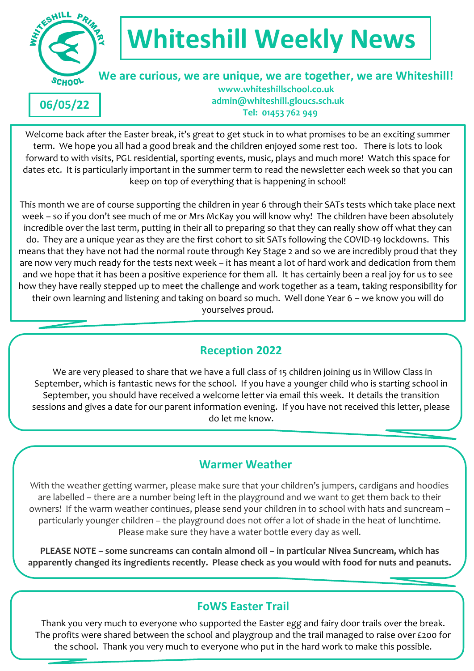

**06/05/22**

# **Whiteshill Weekly News**

 **We are curious, we are unique, we are together, we are Whiteshill! www.whiteshillschool.co.uk admin@whiteshill.gloucs.sch.uk Tel: 01453 762 949**

Welcome back after the Easter break, it's great to get stuck in to what promises to be an exciting summer term. We hope you all had a good break and the children enjoyed some rest too. There is lots to look forward to with visits, PGL residential, sporting events, music, plays and much more! Watch this space for dates etc. It is particularly important in the summer term to read the newsletter each week so that you can keep on top of everything that is happening in school!

This month we are of course supporting the children in year 6 through their SATs tests which take place next week – so if you don't see much of me or Mrs McKay you will know why! The children have been absolutely incredible over the last term, putting in their all to preparing so that they can really show off what they can do. They are a unique year as they are the first cohort to sit SATs following the COVID-19 lockdowns. This means that they have not had the normal route through Key Stage 2 and so we are incredibly proud that they are now very much ready for the tests next week – it has meant a lot of hard work and dedication from them and we hope that it has been a positive experience for them all. It has certainly been a real joy for us to see how they have really stepped up to meet the challenge and work together as a team, taking responsibility for their own learning and listening and taking on board so much. Well done Year 6 – we know you will do yourselves proud.

# **Reception 2022**

We are very pleased to share that we have a full class of 15 children joining us in Willow Class in September, which is fantastic news for the school. If you have a younger child who is starting school in September, you should have received a welcome letter via email this week. It details the transition sessions and gives a date for our parent information evening. If you have not received this letter, please do let me know.

# **Warmer Weather**

With the weather getting warmer, please make sure that your children's jumpers, cardigans and hoodies are labelled – there are a number being left in the playground and we want to get them back to their owners! If the warm weather continues, please send your children in to school with hats and suncream – particularly younger children – the playground does not offer a lot of shade in the heat of lunchtime. Please make sure they have a water bottle every day as well.

**PLEASE NOTE – some suncreams can contain almond oil – in particular Nivea Suncream, which has apparently changed its ingredients recently. Please check as you would with food for nuts and peanuts.**

**oils.**

# **FoWS Easter Trail**

Thank you very much to everyone who supported the Easter egg and fairy door trails over the break. The profits were shared between the school and playgroup and the trail managed to raise over £200 for the school. Thank you very much to everyone who put in the hard work to make this possible.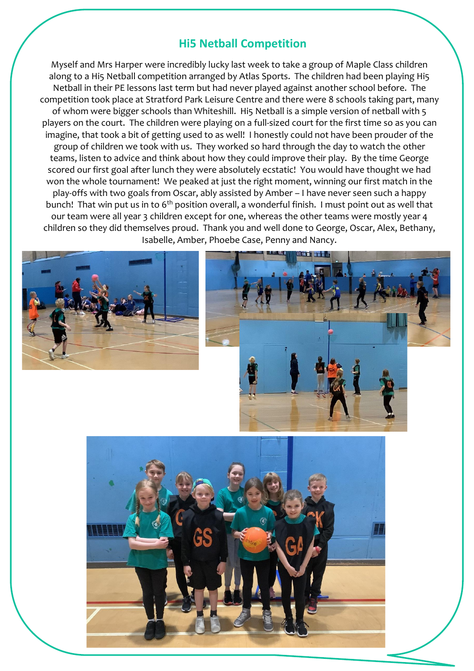#### **Hi5 Netball Competition**

Myself and Mrs Harper were incredibly lucky last week to take a group of Maple Class children along to a Hi5 Netball competition arranged by Atlas Sports. The children had been playing Hi5 Netball in their PE lessons last term but had never played against another school before. The competition took place at Stratford Park Leisure Centre and there were 8 schools taking part, many of whom were bigger schools than Whiteshill. Hi5 Netball is a simple version of netball with 5 players on the court. The children were playing on a full-sized court for the first time so as you can imagine, that took a bit of getting used to as well! I honestly could not have been prouder of the group of children we took with us. They worked so hard through the day to watch the other teams, listen to advice and think about how they could improve their play. By the time George scored our first goal after lunch they were absolutely ecstatic! You would have thought we had won the whole tournament! We peaked at just the right moment, winning our first match in the play-0ffs with two goals from Oscar, ably assisted by Amber – I have never seen such a happy bunch! That win put us in to  $6<sup>th</sup>$  position overall, a wonderful finish. I must point out as well that our team were all year 3 children except for one, whereas the other teams were mostly year 4 children so they did themselves proud. Thank you and well done to George, Oscar, Alex, Bethany, Isabelle, Amber, Phoebe Case, Penny and Nancy.





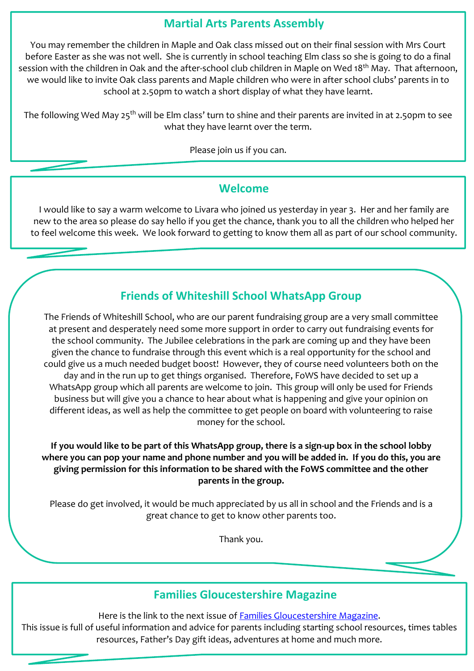#### **Martial Arts Parents Assembly**

You may remember the children in Maple and Oak class missed out on their final session with Mrs Court before Easter as she was not well. She is currently in school teaching Elm class so she is going to do a final session with the children in Oak and the after-school club children in Maple on Wed 18<sup>th</sup> May. That afternoon, we would like to invite Oak class parents and Maple children who were in after school clubs' parents in to school at 2.50pm to watch a short display of what they have learnt.

The following Wed May 25<sup>th</sup> will be Elm class' turn to shine and their parents are invited in at 2.50pm to see what they have learnt over the term.

Please join us if you can.

#### **Welcome**

I would like to say a warm welcome to Livara who joined us yesterday in year 3. Her and her family are new to the area so please do say hello if you get the chance, thank you to all the children who helped her to feel welcome this week. We look forward to getting to know them all as part of our school community.

# **Friends of Whiteshill School WhatsApp Group**

The Friends of Whiteshill School, who are our parent fundraising group are a very small committee at present and desperately need some more support in order to carry out fundraising events for the school community. The Jubilee celebrations in the park are coming up and they have been given the chance to fundraise through this event which is a real opportunity for the school and could give us a much needed budget boost! However, they of course need volunteers both on the day and in the run up to get things organised. Therefore, FoWS have decided to set up a WhatsApp group which all parents are welcome to join. This group will only be used for Friends business but will give you a chance to hear about what is happening and give your opinion on different ideas, as well as help the committee to get people on board with volunteering to raise money for the school.

**If you would like to be part of this WhatsApp group, there is a sign-up box in the school lobby where you can pop your name and phone number and you will be added in. If you do this, you are giving permission for this information to be shared with the FoWS committee and the other parents in the group.**

Please do get involved, it would be much appreciated by us all in school and the Friends and is a great chance to get to know other parents too.

Thank you.

#### **Families Gloucestershire Magazine**

Here is the link to the next issue of Families [Gloucestershire](https://issuu.com/familiesonline/docs/familiesgloucestershiremayjune22) Magazine. This issue is full of useful information and advice for parents including starting school resources, times tables resources, Father's Day gift ideas, adventures at home and much more.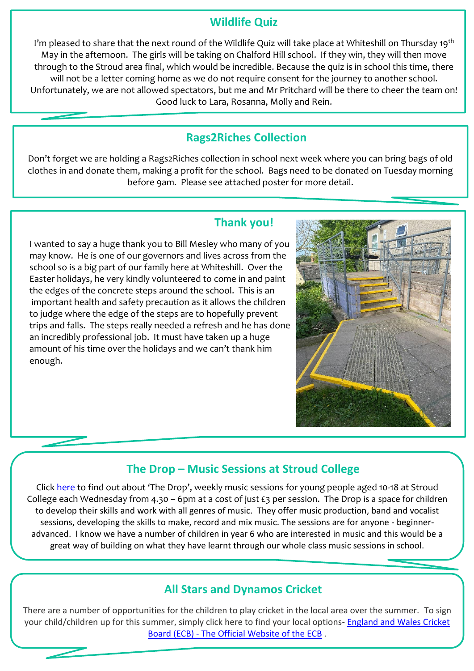#### **Wildlife Quiz**

I'm pleased to share that the next round of the Wildlife Quiz will take place at Whiteshill on Thursday 19<sup>th</sup> May in the afternoon. The girls will be taking on Chalford Hill school. If they win, they will then move through to the Stroud area final, which would be incredible. Because the quiz is in school this time, there will not be a letter coming home as we do not require consent for the journey to another school. Unfortunately, we are not allowed spectators, but me and Mr Pritchard will be there to cheer the team on! Good luck to Lara, Rosanna, Molly and Rein.

## **Rags2Riches Collection**

Don't forget we are holding a Rags2Riches collection in school next week where you can bring bags of old clothes in and donate them, making a profit for the school. Bags need to be donated on Tuesday morning before 9am. Please see attached poster for more detail.

#### **Thank you!**

I wanted to say a huge thank you to Bill Mesley who many of you may know. He is one of our governors and lives across from the school so is a big part of our family here at Whiteshill. Over the Easter holidays, he very kindly volunteered to come in and paint the edges of the concrete steps around the school. This is an important health and safety precaution as it allows the children to judge where the edge of the steps are to hopefully prevent trips and falls. The steps really needed a refresh and he has done an incredibly professional job. It must have taken up a huge amount of his time over the holidays and we can't thank him enough.



## **The Drop – Music Sessions at Stroud College**

Click [here](https://www.themusicworks.org.uk/make-music/startingout/the-drop/?utm_medium=email&_hsmi=211895094&_hsenc=p2ANqtz--ep4vCXysUIal1cmmnLagQzQBppFjCNg0UW_ht3_Icmioz51NZHN9sxLUwQtgaWlcuo_5hzXlJSplJzBeXLVh2T0FaYaxO4-DVTIka4a0qDUfAb-0&utm_content=211895094&utm_source=hs_email) to find out about 'The Drop', weekly music sessions for young people aged 10-18 at Stroud College each Wednesday from 4.30 – 6pm at a cost of just £3 per session. The Drop is a space for children to develop their skills and work with all genres of music. They offer music production, band and vocalist sessions, developing the skills to make, record and mix music. The sessions are for anyone - beginneradvanced. I know we have a number of children in year 6 who are interested in music and this would be a great way of building on what they have learnt through our whole class music sessions in school.

#### **All Stars and Dynamos Cricket**

There are a number of opportunities for the children to play cricket in the local area over the summer. To sign your child/children up for this summer, simply click here to find your local options- [England](https://www.ecb.co.uk/play/all-stars) and Wales Cricket Board (ECB) - The Official [Website](https://www.ecb.co.uk/play/all-stars) of the ECB .